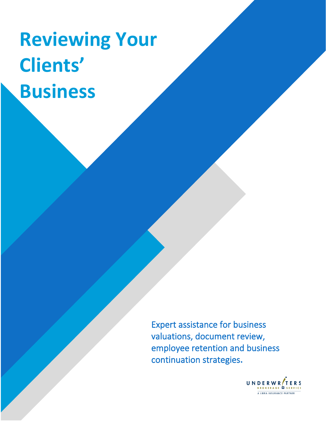# **Reviewing Your Clients' Business**

Expert assistance for business valuations, document review, employee retention and business continuation strategies**.**

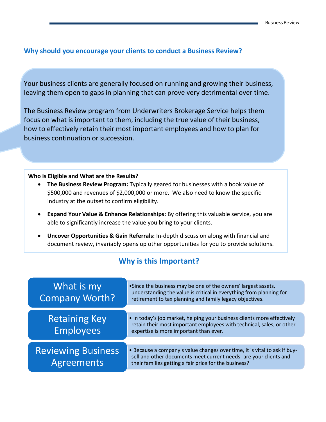### **Why should you encourage your clients to conduct a Business Review?**

Your business clients are generally focused on running and growing their business, leaving them open to gaps in planning that can prove very detrimental over time.

The Business Review program from Underwriters Brokerage Service helps them focus on what is important to them, including the true value of their business, how to effectively retain their most important employees and how to plan for business continuation or succession.

#### **Who is Eligible and What are the Results?**

- **The Business Review Program:** Typically geared for businesses with a book value of \$500,000 and revenues of \$2,000,000 or more. We also need to know the specific industry at the outset to confirm eligibility.
- **Expand Your Value & Enhance Relationships:** By offering this valuable service, you are able to significantly increase the value you bring to your clients.
- **Uncover Opportunities & Gain Referrals:** In-depth discussion along with financial and document review, invariably opens up other opportunities for you to provide solutions.

## **Why is this Important?**

| What is my<br><b>Company Worth?</b>     | •Since the business may be one of the owners' largest assets,<br>understanding the value is critical in everything from planning for<br>retirement to tax planning and family legacy objectives.        |
|-----------------------------------------|---------------------------------------------------------------------------------------------------------------------------------------------------------------------------------------------------------|
| <b>Retaining Key</b><br>Employees       | • In today's job market, helping your business clients more effectively<br>retain their most important employees with technical, sales, or other<br>expertise is more important than ever.              |
| <b>Reviewing Business</b><br>Agreements | • Because a company's value changes over time, it is vital to ask if buy-<br>sell and other documents meet current needs- are your clients and<br>their families getting a fair price for the business? |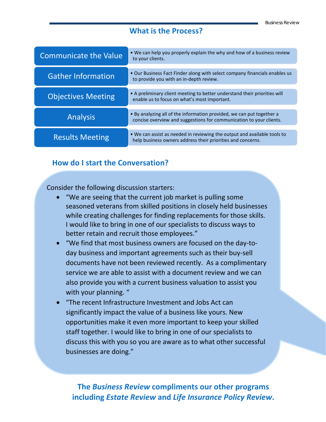#### **What is the Process?**

| <b>Communicate the Value</b> | • We can help you properly explain the why and how of a business review<br>to your clients.                                                  |
|------------------------------|----------------------------------------------------------------------------------------------------------------------------------------------|
| <b>Gather Information</b>    | • Our Business Fact Finder along with select company financials enables us<br>to provide you with an in-depth review.                        |
| <b>Objectives Meeting</b>    | • A preliminary client meeting to better understand their priorities will<br>enable us to focus on what's most important.                    |
| <b>Analysis</b>              | • By analyzing all of the information provided, we can put together a<br>concise overview and suggestions for communication to your clients. |
| <b>Results Meeting</b>       | • We can assist as needed in reviewing the output and available tools to<br>help business owners address their priorities and concerns.      |

### **How do I start the Conversation?**

Consider the following discussion starters:

- "We are seeing that the current job market is pulling some seasoned veterans from skilled positions in closely held businesses while creating challenges for finding replacements for those skills. I would like to bring in one of our specialists to discuss ways to better retain and recruit those employees."
- "We find that most business owners are focused on the day-today business and important agreements such as their buy-sell documents have not been reviewed recently. As a complimentary service we are able to assist with a document review and we can also provide you with a current business valuation to assist you with your planning. "
- "The recent Infrastructure Investment and Jobs Act can significantly impact the value of a business like yours. New opportunities make it even more important to keep your skilled staff together. I would like to bring in one of our specialists to discuss this with you so you are aware as to what other successful businesses are doing."

**The** *Business Review* **compliments our other programs including** *Estate Review* **and** *Life Insurance Policy Review***.**